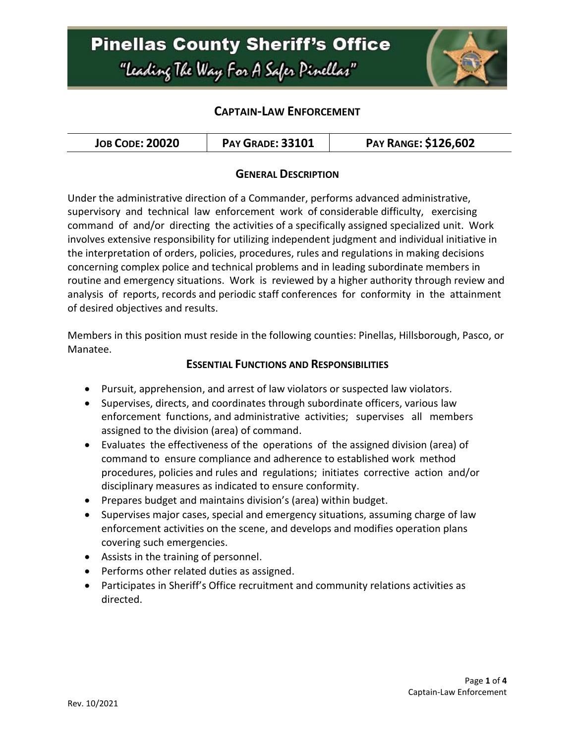## **Pinellas County Sheriff's Office** "Leading The Way For A Safer Pinellar"



#### **CAPTAIN-LAW ENFORCEMENT**

| <b>JOB CODE: 20020</b> | <b>PAY GRADE: 33101</b> | <b>PAY RANGE: \$126,602</b> |
|------------------------|-------------------------|-----------------------------|
|------------------------|-------------------------|-----------------------------|

#### **GENERAL DESCRIPTION**

Under the administrative direction of a Commander, performs advanced administrative, supervisory and technical law enforcement work of considerable difficulty, exercising command of and/or directing the activities of a specifically assigned specialized unit. Work involves extensive responsibility for utilizing independent judgment and individual initiative in the interpretation of orders, policies, procedures, rules and regulations in making decisions concerning complex police and technical problems and in leading subordinate members in routine and emergency situations. Work is reviewed by a higher authority through review and analysis of reports, records and periodic staff conferences for conformity in the attainment of desired objectives and results.

Members in this position must reside in the following counties: Pinellas, Hillsborough, Pasco, or Manatee.

#### **ESSENTIAL FUNCTIONS AND RESPONSIBILITIES**

- Pursuit, apprehension, and arrest of law violators or suspected law violators.
- Supervises, directs, and coordinates through subordinate officers, various law enforcement functions, and administrative activities; supervises all members assigned to the division (area) of command.
- Evaluates the effectiveness of the operations of the assigned division (area) of command to ensure compliance and adherence to established work method procedures, policies and rules and regulations; initiates corrective action and/or disciplinary measures as indicated to ensure conformity.
- Prepares budget and maintains division's (area) within budget.
- Supervises major cases, special and emergency situations, assuming charge of law enforcement activities on the scene, and develops and modifies operation plans covering such emergencies.
- Assists in the training of personnel.
- Performs other related duties as assigned.
- Participates in Sheriff's Office recruitment and community relations activities as directed.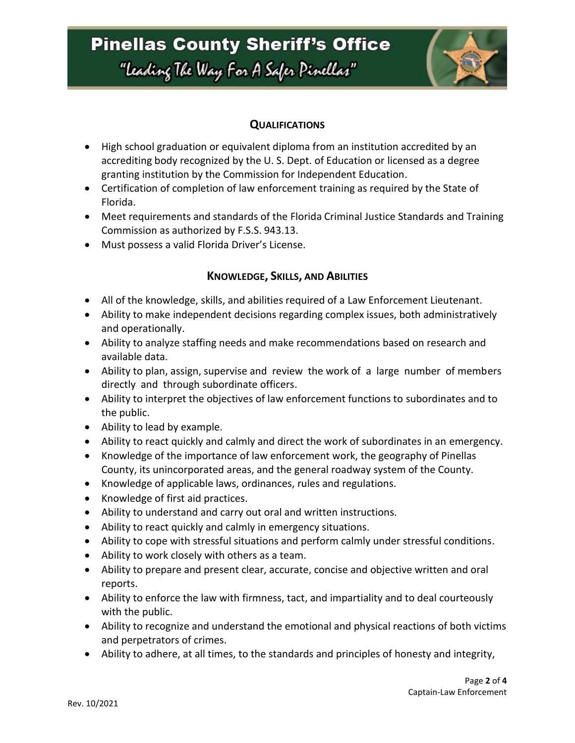# **Pinellas County Sheriff's Office**

"Leading The Way For A Safer Pinellar"



### **QUALIFICATIONS**

- High school graduation or equivalent diploma from an institution accredited by an accrediting body recognized by the U. S. Dept. of Education or licensed as a degree granting institution by the Commission for Independent Education.
- Certification of completion of law enforcement training as required by the State of Florida.
- Meet requirements and standards of the Florida Criminal Justice Standards and Training Commission as authorized by F.S.S. 943.13.
- Must possess a valid Florida Driver's License.

### **KNOWLEDGE, SKILLS, AND ABILITIES**

- All of the knowledge, skills, and abilities required of a Law Enforcement Lieutenant.
- Ability to make independent decisions regarding complex issues, both administratively and operationally.
- Ability to analyze staffing needs and make recommendations based on research and available data.
- Ability to plan, assign, supervise and review the work of a large number of members directly and through subordinate officers.
- Ability to interpret the objectives of law enforcement functions to subordinates and to the public.
- Ability to lead by example.
- Ability to react quickly and calmly and direct the work of subordinates in an emergency.
- Knowledge of the importance of law enforcement work, the geography of Pinellas County, its unincorporated areas, and the general roadway system of the County.
- Knowledge of applicable laws, ordinances, rules and regulations.
- Knowledge of first aid practices.
- Ability to understand and carry out oral and written instructions.
- Ability to react quickly and calmly in emergency situations.
- Ability to cope with stressful situations and perform calmly under stressful conditions.
- Ability to work closely with others as a team.
- Ability to prepare and present clear, accurate, concise and objective written and oral reports.
- Ability to enforce the law with firmness, tact, and impartiality and to deal courteously with the public.
- Ability to recognize and understand the emotional and physical reactions of both victims and perpetrators of crimes.
- Ability to adhere, at all times, to the standards and principles of honesty and integrity,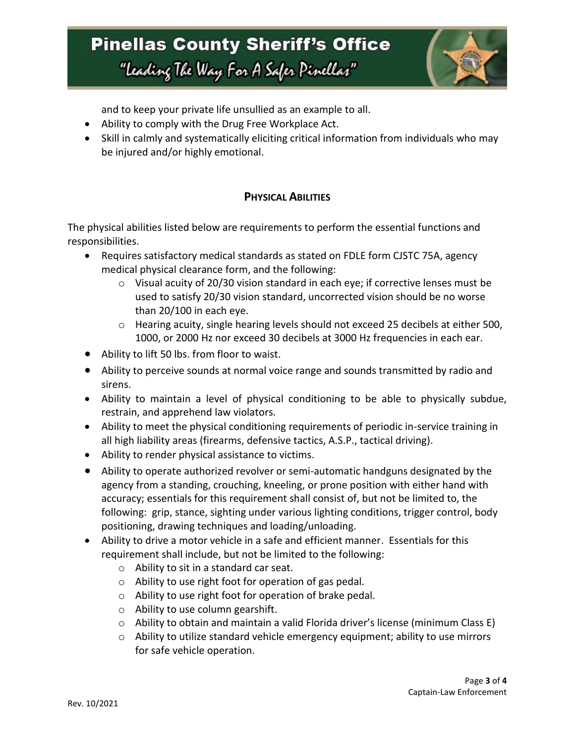# **Pinellas County Sheriff's Office** "Leading The Way For A Safer Pinellar"



and to keep your private life unsullied as an example to all.

- Ability to comply with the Drug Free Workplace Act.
- Skill in calmly and systematically eliciting critical information from individuals who may be injured and/or highly emotional.

### **PHYSICAL ABILITIES**

The physical abilities listed below are requirements to perform the essential functions and responsibilities.

- Requires satisfactory medical standards as stated on FDLE form CJSTC 75A, agency medical physical clearance form, and the following:
	- o Visual acuity of 20/30 vision standard in each eye; if corrective lenses must be used to satisfy 20/30 vision standard, uncorrected vision should be no worse than 20/100 in each eye.
	- o Hearing acuity, single hearing levels should not exceed 25 decibels at either 500, 1000, or 2000 Hz nor exceed 30 decibels at 3000 Hz frequencies in each ear.
- Ability to lift 50 lbs. from floor to waist.
- Ability to perceive sounds at normal voice range and sounds transmitted by radio and sirens.
- Ability to maintain a level of physical conditioning to be able to physically subdue, restrain, and apprehend law violators.
- Ability to meet the physical conditioning requirements of periodic in-service training in all high liability areas (firearms, defensive tactics, A.S.P., tactical driving).
- Ability to render physical assistance to victims.
- Ability to operate authorized revolver or semi-automatic handguns designated by the agency from a standing, crouching, kneeling, or prone position with either hand with accuracy; essentials for this requirement shall consist of, but not be limited to, the following: grip, stance, sighting under various lighting conditions, trigger control, body positioning, drawing techniques and loading/unloading.
- Ability to drive a motor vehicle in a safe and efficient manner. Essentials for this requirement shall include, but not be limited to the following:
	- o Ability to sit in a standard car seat.
	- o Ability to use right foot for operation of gas pedal.
	- o Ability to use right foot for operation of brake pedal.
	- o Ability to use column gearshift.
	- $\circ$  Ability to obtain and maintain a valid Florida driver's license (minimum Class E)
	- o Ability to utilize standard vehicle emergency equipment; ability to use mirrors for safe vehicle operation.